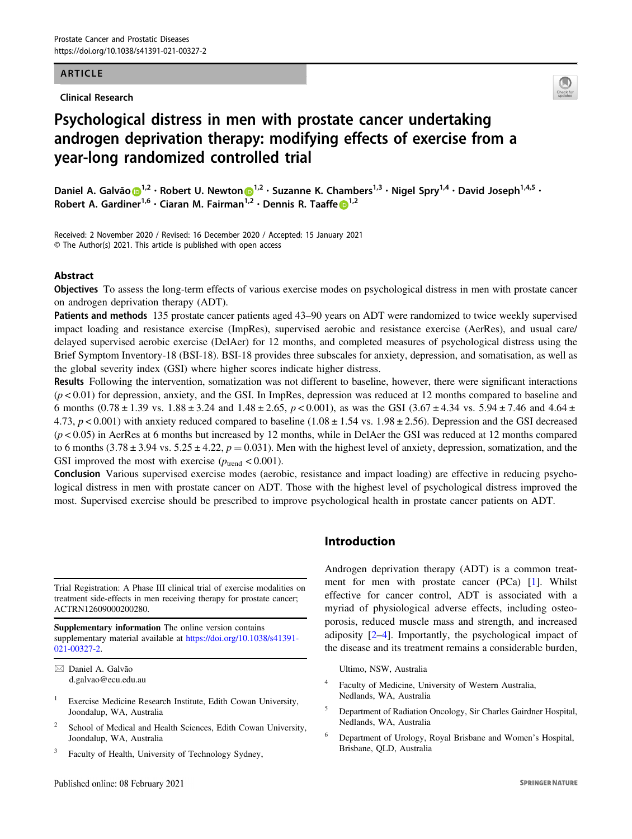#### ARTICLE

Clinical Research



# Psychological distress in men with prostate cancer undertaking androgen deprivation therapy: modifying effects of exercise from a year-long randomized controlled trial

Daniel A. Galvã[o](http://orcid.org/0000-0002-8209-2281) D<sup>[1](http://orcid.org/0000-0003-0302-6129),2</sup> • Robert U. Newto[n](http://orcid.org/0000-0003-0302-6129) D<sup>1,2</sup> • Suzanne K. Chambers<sup>1,3</sup> • Nigel Spry<sup>1,4</sup> • David Joseph<sup>1,4,5</sup> • Robert A. Gardiner<sup>[1](http://orcid.org/0000-0001-6381-1597),6</sup> · Ciaran M. Fairman<sup>1,2</sup> · Dennis R. Taaffe D<sup>1,2</sup>

Received: 2 November 2020 / Revised: 16 December 2020 / Accepted: 15 January 2021 © The Author(s) 2021. This article is published with open access

# Abstract

Objectives To assess the long-term effects of various exercise modes on psychological distress in men with prostate cancer on androgen deprivation therapy (ADT).

Patients and methods 135 prostate cancer patients aged 43–90 years on ADT were randomized to twice weekly supervised impact loading and resistance exercise (ImpRes), supervised aerobic and resistance exercise (AerRes), and usual care/ delayed supervised aerobic exercise (DelAer) for 12 months, and completed measures of psychological distress using the Brief Symptom Inventory-18 (BSI-18). BSI-18 provides three subscales for anxiety, depression, and somatisation, as well as the global severity index (GSI) where higher scores indicate higher distress.

Results Following the intervention, somatization was not different to baseline, however, there were significant interactions  $(p < 0.01)$  for depression, anxiety, and the GSI. In ImpRes, depression was reduced at 12 months compared to baseline and 6 months  $(0.78 \pm 1.39 \text{ vs. } 1.88 \pm 3.24 \text{ and } 1.48 \pm 2.65, p < 0.001)$ , as was the GSI  $(3.67 \pm 4.34 \text{ vs. } 5.94 \pm 7.46 \text{ and } 4.64 \pm 1.64 \text{ s})$ 4.73,  $p < 0.001$ ) with anxiety reduced compared to baseline  $(1.08 \pm 1.54 \text{ vs. } 1.98 \pm 2.56)$ . Depression and the GSI decreased  $(p < 0.05)$  in AerRes at 6 months but increased by 12 months, while in DelAer the GSI was reduced at 12 months compared to 6 months  $(3.78 \pm 3.94 \text{ vs. } 5.25 \pm 4.22, p = 0.031)$ . Men with the highest level of anxiety, depression, somatization, and the GSI improved the most with exercise ( $p_{\text{trend}} < 0.001$ ).

Conclusion Various supervised exercise modes (aerobic, resistance and impact loading) are effective in reducing psychological distress in men with prostate cancer on ADT. Those with the highest level of psychological distress improved the most. Supervised exercise should be prescribed to improve psychological health in prostate cancer patients on ADT.

Trial Registration: A Phase III clinical trial of exercise modalities on treatment side-effects in men receiving therapy for prostate cancer; ACTRN12609000200280.

Supplementary information The online version contains supplementary material available at [https://doi.org/10.1038/s41391-](https://doi.org/10.1038/s41391-021-00327-2) [021-00327-2.](https://doi.org/10.1038/s41391-021-00327-2)

- Exercise Medicine Research Institute, Edith Cowan University, Joondalup, WA, Australia
- <sup>2</sup> School of Medical and Health Sciences, Edith Cowan University, Joondalup, WA, Australia
- <sup>3</sup> Faculty of Health, University of Technology Sydney,

# Introduction

Androgen deprivation therapy (ADT) is a common treatment for men with prostate cancer (PCa) [[1\]](#page-7-0). Whilst effective for cancer control, ADT is associated with a myriad of physiological adverse effects, including osteoporosis, reduced muscle mass and strength, and increased adiposity [\[2](#page-7-0)–[4](#page-7-0)]. Importantly, the psychological impact of the disease and its treatment remains a considerable burden,

Ultimo, NSW, Australia

- <sup>4</sup> Faculty of Medicine, University of Western Australia, Nedlands, WA, Australia
- <sup>5</sup> Department of Radiation Oncology, Sir Charles Gairdner Hospital, Nedlands, WA, Australia
- <sup>6</sup> Department of Urology, Royal Brisbane and Women's Hospital, Brisbane, QLD, Australia

 $\boxtimes$  Daniel A. Galvão [d.galvao@ecu.edu.au](mailto:d.galvao@ecu.edu.au)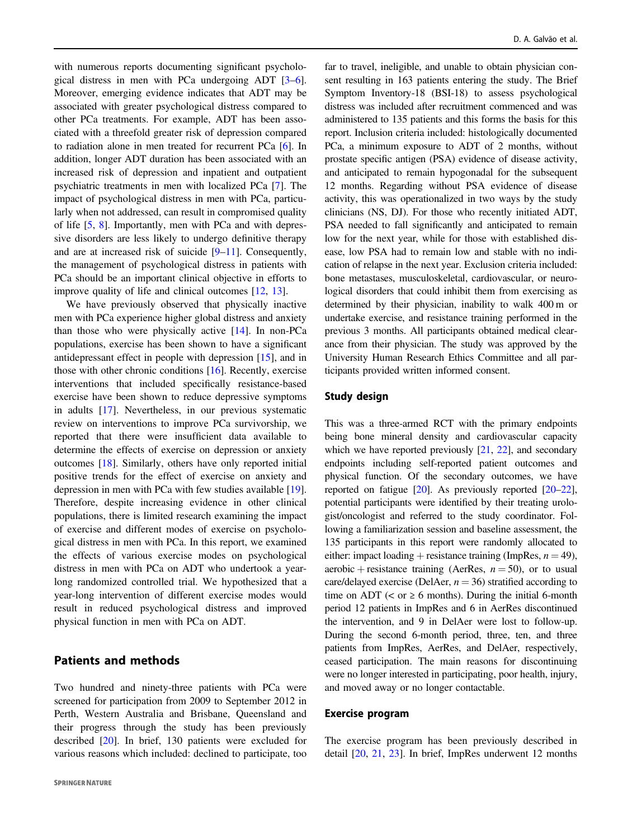with numerous reports documenting significant psychological distress in men with PCa undergoing ADT [\[3](#page-7-0)–[6](#page-7-0)]. Moreover, emerging evidence indicates that ADT may be associated with greater psychological distress compared to other PCa treatments. For example, ADT has been associated with a threefold greater risk of depression compared to radiation alone in men treated for recurrent PCa [[6\]](#page-7-0). In addition, longer ADT duration has been associated with an increased risk of depression and inpatient and outpatient psychiatric treatments in men with localized PCa [\[7](#page-7-0)]. The impact of psychological distress in men with PCa, particularly when not addressed, can result in compromised quality of life [\[5](#page-7-0), [8](#page-7-0)]. Importantly, men with PCa and with depressive disorders are less likely to undergo definitive therapy and are at increased risk of suicide [[9](#page-7-0)–[11\]](#page-7-0). Consequently, the management of psychological distress in patients with PCa should be an important clinical objective in efforts to improve quality of life and clinical outcomes [\[12](#page-7-0), [13](#page-7-0)].

We have previously observed that physically inactive men with PCa experience higher global distress and anxiety than those who were physically active [\[14](#page-7-0)]. In non-PCa populations, exercise has been shown to have a significant antidepressant effect in people with depression [\[15](#page-7-0)], and in those with other chronic conditions [[16\]](#page-7-0). Recently, exercise interventions that included specifically resistance-based exercise have been shown to reduce depressive symptoms in adults [\[17](#page-8-0)]. Nevertheless, in our previous systematic review on interventions to improve PCa survivorship, we reported that there were insufficient data available to determine the effects of exercise on depression or anxiety outcomes [[18\]](#page-8-0). Similarly, others have only reported initial positive trends for the effect of exercise on anxiety and depression in men with PCa with few studies available [\[19](#page-8-0)]. Therefore, despite increasing evidence in other clinical populations, there is limited research examining the impact of exercise and different modes of exercise on psychological distress in men with PCa. In this report, we examined the effects of various exercise modes on psychological distress in men with PCa on ADT who undertook a yearlong randomized controlled trial. We hypothesized that a year-long intervention of different exercise modes would result in reduced psychological distress and improved physical function in men with PCa on ADT.

# Patients and methods

Two hundred and ninety-three patients with PCa were screened for participation from 2009 to September 2012 in Perth, Western Australia and Brisbane, Queensland and their progress through the study has been previously described [\[20](#page-8-0)]. In brief, 130 patients were excluded for various reasons which included: declined to participate, too

far to travel, ineligible, and unable to obtain physician consent resulting in 163 patients entering the study. The Brief Symptom Inventory-18 (BSI-18) to assess psychological distress was included after recruitment commenced and was administered to 135 patients and this forms the basis for this report. Inclusion criteria included: histologically documented PCa, a minimum exposure to ADT of 2 months, without prostate specific antigen (PSA) evidence of disease activity, and anticipated to remain hypogonadal for the subsequent 12 months. Regarding without PSA evidence of disease activity, this was operationalized in two ways by the study clinicians (NS, DJ). For those who recently initiated ADT, PSA needed to fall significantly and anticipated to remain low for the next year, while for those with established disease, low PSA had to remain low and stable with no indication of relapse in the next year. Exclusion criteria included: bone metastases, musculoskeletal, cardiovascular, or neurological disorders that could inhibit them from exercising as determined by their physician, inability to walk 400 m or undertake exercise, and resistance training performed in the previous 3 months. All participants obtained medical clearance from their physician. The study was approved by the University Human Research Ethics Committee and all participants provided written informed consent.

### Study design

This was a three-armed RCT with the primary endpoints being bone mineral density and cardiovascular capacity which we have reported previously  $[21, 22]$  $[21, 22]$  $[21, 22]$  $[21, 22]$ , and secondary endpoints including self-reported patient outcomes and physical function. Of the secondary outcomes, we have reported on fatigue [\[20](#page-8-0)]. As previously reported [\[20](#page-8-0)–[22\]](#page-8-0), potential participants were identified by their treating urologist/oncologist and referred to the study coordinator. Following a familiarization session and baseline assessment, the 135 participants in this report were randomly allocated to either: impact loading + resistance training (ImpRes,  $n = 49$ ), aerobic + resistance training (AerRes,  $n = 50$ ), or to usual care/delayed exercise (DelAer,  $n = 36$ ) stratified according to time on ADT ( $\lt$  or  $\geq 6$  months). During the initial 6-month period 12 patients in ImpRes and 6 in AerRes discontinued the intervention, and 9 in DelAer were lost to follow-up. During the second 6-month period, three, ten, and three patients from ImpRes, AerRes, and DelAer, respectively, ceased participation. The main reasons for discontinuing were no longer interested in participating, poor health, injury, and moved away or no longer contactable.

## Exercise program

The exercise program has been previously described in detail [[20,](#page-8-0) [21,](#page-8-0) [23\]](#page-8-0). In brief, ImpRes underwent 12 months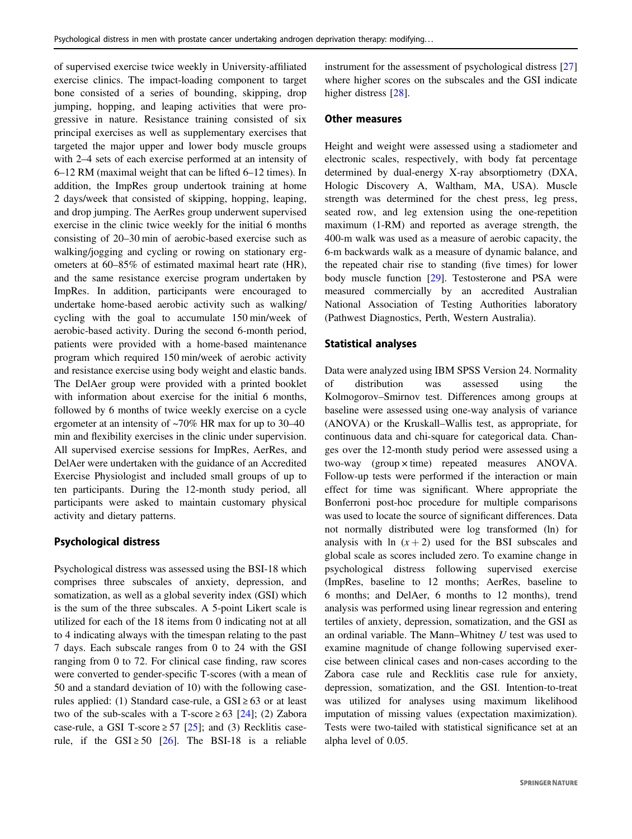of supervised exercise twice weekly in University-affiliated exercise clinics. The impact-loading component to target bone consisted of a series of bounding, skipping, drop jumping, hopping, and leaping activities that were progressive in nature. Resistance training consisted of six principal exercises as well as supplementary exercises that targeted the major upper and lower body muscle groups with 2–4 sets of each exercise performed at an intensity of 6–12 RM (maximal weight that can be lifted 6–12 times). In addition, the ImpRes group undertook training at home 2 days/week that consisted of skipping, hopping, leaping, and drop jumping. The AerRes group underwent supervised exercise in the clinic twice weekly for the initial 6 months consisting of 20–30 min of aerobic-based exercise such as walking/jogging and cycling or rowing on stationary ergometers at 60–85% of estimated maximal heart rate (HR), and the same resistance exercise program undertaken by ImpRes. In addition, participants were encouraged to undertake home-based aerobic activity such as walking/ cycling with the goal to accumulate 150 min/week of aerobic-based activity. During the second 6-month period, patients were provided with a home-based maintenance program which required 150 min/week of aerobic activity and resistance exercise using body weight and elastic bands. The DelAer group were provided with a printed booklet with information about exercise for the initial 6 months, followed by 6 months of twice weekly exercise on a cycle ergometer at an intensity of ~70% HR max for up to 30–40 min and flexibility exercises in the clinic under supervision. All supervised exercise sessions for ImpRes, AerRes, and DelAer were undertaken with the guidance of an Accredited Exercise Physiologist and included small groups of up to ten participants. During the 12-month study period, all participants were asked to maintain customary physical activity and dietary patterns.

# Psychological distress

Psychological distress was assessed using the BSI-18 which comprises three subscales of anxiety, depression, and somatization, as well as a global severity index (GSI) which is the sum of the three subscales. A 5-point Likert scale is utilized for each of the 18 items from 0 indicating not at all to 4 indicating always with the timespan relating to the past 7 days. Each subscale ranges from 0 to 24 with the GSI ranging from 0 to 72. For clinical case finding, raw scores were converted to gender-specific T-scores (with a mean of 50 and a standard deviation of 10) with the following caserules applied: (1) Standard case-rule, a GSI  $\geq 63$  or at least two of the sub-scales with a T-score  $\geq 63$  [\[24](#page-8-0)]; (2) Zabora case-rule, a GSI T-score  $\geq 57$  [[25\]](#page-8-0); and (3) Recklitis case-rule, if the GSI ≥ 50 [\[26](#page-8-0)]. The BSI-18 is a reliable

instrument for the assessment of psychological distress [\[27](#page-8-0)] where higher scores on the subscales and the GSI indicate higher distress [[28\]](#page-8-0).

# Other measures

Height and weight were assessed using a stadiometer and electronic scales, respectively, with body fat percentage determined by dual-energy X-ray absorptiometry (DXA, Hologic Discovery A, Waltham, MA, USA). Muscle strength was determined for the chest press, leg press, seated row, and leg extension using the one-repetition maximum (1-RM) and reported as average strength, the 400-m walk was used as a measure of aerobic capacity, the 6-m backwards walk as a measure of dynamic balance, and the repeated chair rise to standing (five times) for lower body muscle function [[29\]](#page-8-0). Testosterone and PSA were measured commercially by an accredited Australian National Association of Testing Authorities laboratory (Pathwest Diagnostics, Perth, Western Australia).

### Statistical analyses

Data were analyzed using IBM SPSS Version 24. Normality of distribution was assessed using the Kolmogorov–Smirnov test. Differences among groups at baseline were assessed using one-way analysis of variance (ANOVA) or the Kruskall–Wallis test, as appropriate, for continuous data and chi-square for categorical data. Changes over the 12-month study period were assessed using a two-way (group × time) repeated measures ANOVA. Follow-up tests were performed if the interaction or main effect for time was significant. Where appropriate the Bonferroni post-hoc procedure for multiple comparisons was used to locate the source of significant differences. Data not normally distributed were log transformed (ln) for analysis with  $\ln(x+2)$  used for the BSI subscales and global scale as scores included zero. To examine change in psychological distress following supervised exercise (ImpRes, baseline to 12 months; AerRes, baseline to 6 months; and DelAer, 6 months to 12 months), trend analysis was performed using linear regression and entering tertiles of anxiety, depression, somatization, and the GSI as an ordinal variable. The Mann–Whitney U test was used to examine magnitude of change following supervised exercise between clinical cases and non-cases according to the Zabora case rule and Recklitis case rule for anxiety, depression, somatization, and the GSI. Intention-to-treat was utilized for analyses using maximum likelihood imputation of missing values (expectation maximization). Tests were two-tailed with statistical significance set at an alpha level of 0.05.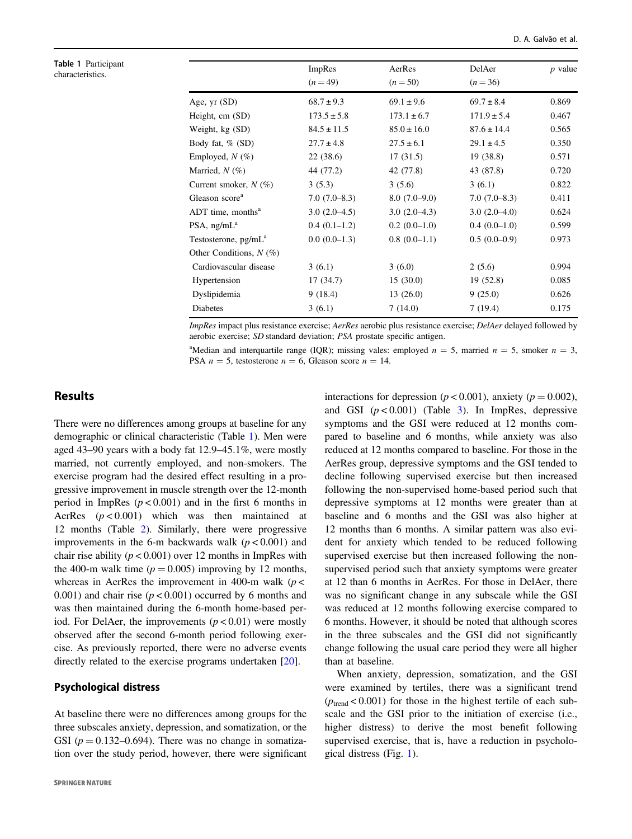| Table 1 Participant<br>characteristics. |                                  | ImpRes<br>$(n = 49)$ | AerRes<br>$(n = 50)$ | DelAer<br>$(n = 36)$ | $p$ value |
|-----------------------------------------|----------------------------------|----------------------|----------------------|----------------------|-----------|
|                                         | Age, yr (SD)                     | $68.7 \pm 9.3$       | $69.1 \pm 9.6$       | $69.7 \pm 8.4$       | 0.869     |
|                                         | Height, cm (SD)                  | $173.5 \pm 5.8$      | $173.1 \pm 6.7$      | $171.9 \pm 5.4$      | 0.467     |
|                                         | Weight, kg (SD)                  | $84.5 \pm 11.5$      | $85.0 \pm 16.0$      | $87.6 \pm 14.4$      | 0.565     |
|                                         | Body fat, $\%$ (SD)              | $27.7 \pm 4.8$       | $27.5 \pm 6.1$       | $29.1 \pm 4.5$       | 0.350     |
|                                         | Employed, $N(\%)$                | 22(38.6)             | 17(31.5)             | 19(38.8)             | 0.571     |
|                                         | Married, $N$ (%)                 | 44 (77.2)            | 42 (77.8)            | 43 (87.8)            | 0.720     |
|                                         | Current smoker, $N$ (%)          | 3(5.3)               | 3(5.6)               | 3(6.1)               | 0.822     |
|                                         | Gleason score <sup>a</sup>       | $7.0(7.0-8.3)$       | $8.0(7.0-9.0)$       | $7.0(7.0-8.3)$       | 0.411     |
|                                         | ADT time, months $a$             | $3.0(2.0-4.5)$       | $3.0(2.0-4.3)$       | $3.0(2.0-4.0)$       | 0.624     |
|                                         | PSA, $ng/mLa$                    | $0.4(0.1-1.2)$       | $0.2(0.0-1.0)$       | $0.4(0.0-1.0)$       | 0.599     |
|                                         | Testosterone, pg/mL <sup>a</sup> | $0.0(0.0-1.3)$       | $0.8(0.0-1.1)$       | $0.5(0.0-0.9)$       | 0.973     |
|                                         | Other Conditions, $N(\%)$        |                      |                      |                      |           |
|                                         | Cardiovascular disease           | 3(6.1)               | 3(6.0)               | 2(5.6)               | 0.994     |
|                                         | Hypertension                     | 17(34.7)             | 15(30.0)             | 19(52.8)             | 0.085     |
|                                         | Dyslipidemia                     | 9(18.4)              | 13(26.0)             | 9(25.0)              | 0.626     |
|                                         | Diabetes                         | 3(6.1)               | 7(14.0)              | 7(19.4)              | 0.175     |

ImpRes impact plus resistance exercise; AerRes aerobic plus resistance exercise; DelAer delayed followed by aerobic exercise; SD standard deviation; PSA prostate specific antigen.

<sup>a</sup>Median and interquartile range (IQR); missing vales: employed  $n = 5$ , married  $n = 5$ , smoker  $n = 3$ , PSA  $n = 5$ , testosterone  $n = 6$ , Gleason score  $n = 14$ .

# Results

There were no differences among groups at baseline for any demographic or clinical characteristic (Table 1). Men were aged 43–90 years with a body fat 12.9–45.1%, were mostly married, not currently employed, and non-smokers. The exercise program had the desired effect resulting in a progressive improvement in muscle strength over the 12-month period in ImpRes  $(p < 0.001)$  and in the first 6 months in AerRes  $(p < 0.001)$  which was then maintained at 12 months (Table [2\)](#page-4-0). Similarly, there were progressive improvements in the 6-m backwards walk ( $p < 0.001$ ) and chair rise ability ( $p < 0.001$ ) over 12 months in ImpRes with the 400-m walk time ( $p = 0.005$ ) improving by 12 months, whereas in AerRes the improvement in 400-m walk ( $p$  < 0.001) and chair rise  $(p < 0.001)$  occurred by 6 months and was then maintained during the 6-month home-based period. For DelAer, the improvements  $(p < 0.01)$  were mostly observed after the second 6-month period following exercise. As previously reported, there were no adverse events directly related to the exercise programs undertaken [[20\]](#page-8-0).

#### Psychological distress

At baseline there were no differences among groups for the three subscales anxiety, depression, and somatization, or the GSI ( $p = 0.132 - 0.694$ ). There was no change in somatization over the study period, however, there were significant interactions for depression ( $p < 0.001$ ), anxiety ( $p = 0.002$ ), and GSI  $(p < 0.001)$  (Table [3](#page-4-0)). In ImpRes, depressive symptoms and the GSI were reduced at 12 months compared to baseline and 6 months, while anxiety was also reduced at 12 months compared to baseline. For those in the AerRes group, depressive symptoms and the GSI tended to decline following supervised exercise but then increased following the non-supervised home-based period such that depressive symptoms at 12 months were greater than at baseline and 6 months and the GSI was also higher at 12 months than 6 months. A similar pattern was also evident for anxiety which tended to be reduced following supervised exercise but then increased following the nonsupervised period such that anxiety symptoms were greater at 12 than 6 months in AerRes. For those in DelAer, there was no significant change in any subscale while the GSI was reduced at 12 months following exercise compared to 6 months. However, it should be noted that although scores in the three subscales and the GSI did not significantly change following the usual care period they were all higher than at baseline.

When anxiety, depression, somatization, and the GSI were examined by tertiles, there was a significant trend  $(p_{\text{trend}} < 0.001)$  for those in the highest tertile of each subscale and the GSI prior to the initiation of exercise (i.e., higher distress) to derive the most benefit following supervised exercise, that is, have a reduction in psychological distress (Fig. [1\)](#page-5-0).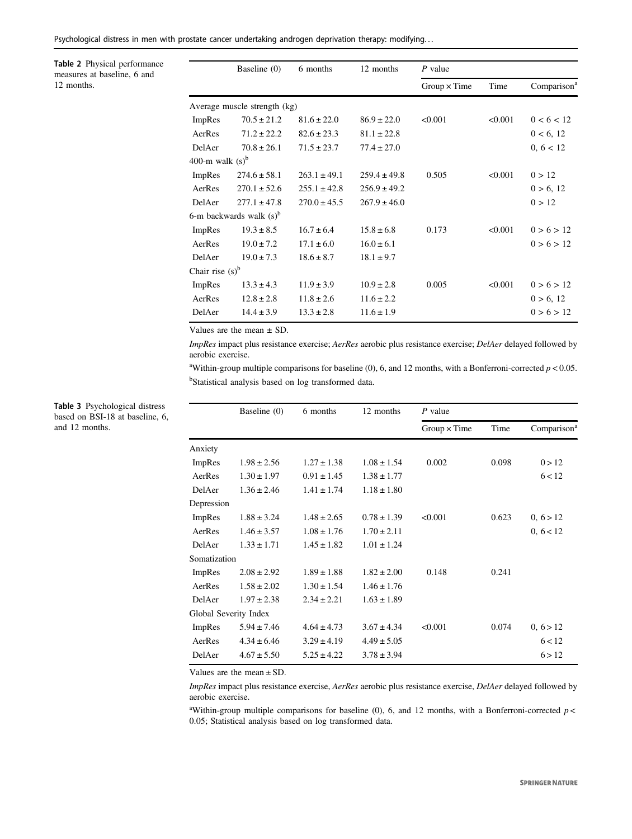<span id="page-4-0"></span>Psychological distress in men with prostate cancer undertaking androgen deprivation therapy: modifying. . .

Table 2 Physical performance measures at baseline, 6 and 12 months.

| Baseline (0)                        | 6 months         | 12 months                    | $P$ value           |         |                         |
|-------------------------------------|------------------|------------------------------|---------------------|---------|-------------------------|
|                                     |                  |                              | $Group \times Time$ | Time    | Comparison <sup>a</sup> |
|                                     |                  |                              |                     |         |                         |
| $70.5 \pm 21.2$                     | $81.6 \pm 22.0$  | $86.9 \pm 22.0$              | < 0.001             | < 0.001 | 0 < 6 < 12              |
| $71.2 \pm 22.2$                     | $82.6 \pm 23.3$  | $81.1 \pm 22.8$              |                     |         | 0 < 6, 12               |
| $70.8 \pm 26.1$                     | $71.5 \pm 23.7$  | $77.4 \pm 27.0$              |                     |         | 0, 6 < 12               |
| 400-m walk $(s)^b$                  |                  |                              |                     |         |                         |
| $274.6 \pm 58.1$                    | $263.1 \pm 49.1$ | $259.4 \pm 49.8$             | 0.505               | < 0.001 | 0 > 12                  |
| $270.1 \pm 52.6$                    | $255.1 \pm 42.8$ | $256.9 \pm 49.2$             |                     |         | 0 > 6, 12               |
| $277.1 \pm 47.8$                    | $270.0 \pm 45.5$ | $267.9 \pm 46.0$             |                     |         | 0 > 12                  |
| 6-m backwards walk (s) <sup>b</sup> |                  |                              |                     |         |                         |
| $19.3 \pm 8.5$                      | $16.7 \pm 6.4$   | $15.8 \pm 6.8$               | 0.173               | < 0.001 | 0 > 6 > 12              |
| $19.0 \pm 7.2$                      | $17.1 \pm 6.0$   | $16.0 \pm 6.1$               |                     |         | 0 > 6 > 12              |
| $19.0 \pm 7.3$                      | $18.6 \pm 8.7$   | $18.1 \pm 9.7$               |                     |         |                         |
| Chair rise $(s)^b$                  |                  |                              |                     |         |                         |
| $13.3 \pm 4.3$                      | $11.9 \pm 3.9$   | $10.9 \pm 2.8$               | 0.005               | < 0.001 | 0 > 6 > 12              |
| $12.8 \pm 2.8$                      | $11.8 \pm 2.6$   | $11.6 \pm 2.2$               |                     |         | 0 > 6, 12               |
| $14.4 \pm 3.9$                      | $13.3 \pm 2.8$   | $11.6 \pm 1.9$               |                     |         | 0 > 6 > 12              |
|                                     |                  | Average muscle strength (kg) |                     |         |                         |

Values are the mean ± SD.

ImpRes impact plus resistance exercise; AerRes aerobic plus resistance exercise; DelAer delayed followed by aerobic exercise.

<sup>a</sup>Within-group multiple comparisons for baseline (0), 6, and 12 months, with a Bonferroni-corrected  $p < 0.05$ . <sup>b</sup>Statistical analysis based on log transformed data.

Table 3 Psychological distress based on BSI-18 at baseline, 6, and 12 months.

|                       | Baseline (0)    | 6 months        | 12 months       | $P$ value           |       |                         |
|-----------------------|-----------------|-----------------|-----------------|---------------------|-------|-------------------------|
|                       |                 |                 |                 | $Group \times Time$ | Time  | Comparison <sup>a</sup> |
| Anxiety               |                 |                 |                 |                     |       |                         |
| ImpRes                | $1.98 \pm 2.56$ | $1.27 \pm 1.38$ | $1.08 \pm 1.54$ | 0.002               | 0.098 | 0 > 12                  |
| AerRes                | $1.30 \pm 1.97$ | $0.91 \pm 1.45$ | $1.38 \pm 1.77$ |                     |       | 6 < 12                  |
| DelAer                | $1.36 \pm 2.46$ | $1.41 \pm 1.74$ | $1.18 \pm 1.80$ |                     |       |                         |
| Depression            |                 |                 |                 |                     |       |                         |
| ImpRes                | $1.88 \pm 3.24$ | $1.48 \pm 2.65$ | $0.78 \pm 1.39$ | < 0.001             | 0.623 | 0, 6 > 12               |
| AerRes                | $1.46 \pm 3.57$ | $1.08 \pm 1.76$ | $1.70 \pm 2.11$ |                     |       | 0, 6 < 12               |
| DelAer                | $1.33 \pm 1.71$ | $1.45 \pm 1.82$ | $1.01 \pm 1.24$ |                     |       |                         |
| Somatization          |                 |                 |                 |                     |       |                         |
| ImpRes                | $2.08 \pm 2.92$ | $1.89 \pm 1.88$ | $1.82 \pm 2.00$ | 0.148               | 0.241 |                         |
| AerRes                | $1.58 \pm 2.02$ | $1.30 \pm 1.54$ | $1.46 \pm 1.76$ |                     |       |                         |
| DelAer                | $1.97 \pm 2.38$ | $2.34 \pm 2.21$ | $1.63 \pm 1.89$ |                     |       |                         |
| Global Severity Index |                 |                 |                 |                     |       |                         |
| ImpRes                | $5.94 \pm 7.46$ | $4.64 \pm 4.73$ | $3.67 \pm 4.34$ | < 0.001             | 0.074 | 0, 6 > 12               |
| AerRes                | $4.34 \pm 6.46$ | $3.29 \pm 4.19$ | $4.49 \pm 5.05$ |                     |       | 6 < 12                  |
| DelAer                | $4.67 \pm 5.50$ | $5.25 \pm 4.22$ | $3.78 \pm 3.94$ |                     |       | 6 > 12                  |

Values are the mean ± SD.

ImpRes impact plus resistance exercise, AerRes aerobic plus resistance exercise, DelAer delayed followed by aerobic exercise.

<sup>a</sup>Within-group multiple comparisons for baseline (0), 6, and 12 months, with a Bonferroni-corrected  $p <$ 0.05; Statistical analysis based on log transformed data.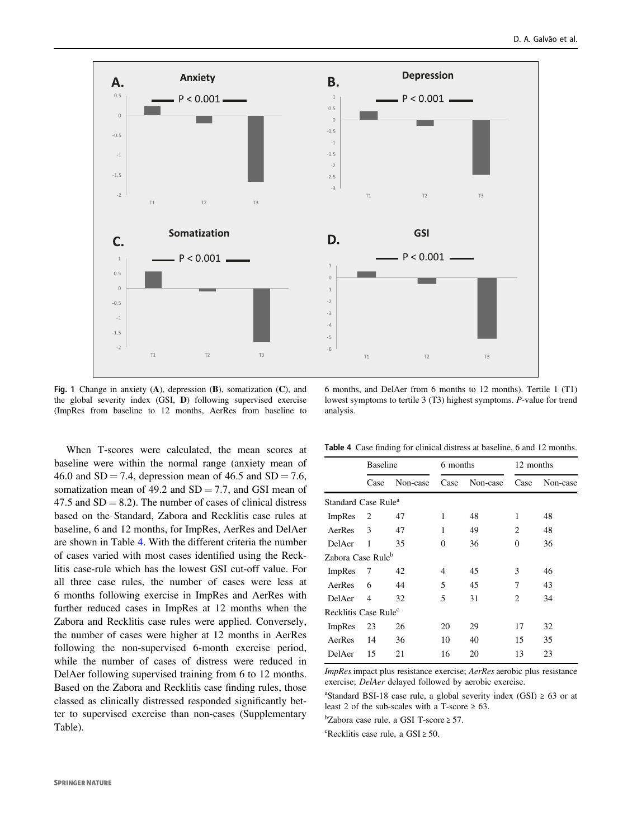<span id="page-5-0"></span>

Fig. 1 Change in anxiety (A), depression (B), somatization (C), and the global severity index (GSI, D) following supervised exercise (ImpRes from baseline to 12 months, AerRes from baseline to

When T-scores were calculated, the mean scores at baseline were within the normal range (anxiety mean of 46.0 and  $SD = 7.4$ , depression mean of 46.5 and  $SD = 7.6$ , somatization mean of 49.2 and  $SD = 7.7$ , and GSI mean of 47.5 and  $SD = 8.2$ ). The number of cases of clinical distress based on the Standard, Zabora and Recklitis case rules at baseline, 6 and 12 months, for ImpRes, AerRes and DelAer are shown in Table 4. With the different criteria the number of cases varied with most cases identified using the Recklitis case-rule which has the lowest GSI cut-off value. For all three case rules, the number of cases were less at 6 months following exercise in ImpRes and AerRes with further reduced cases in ImpRes at 12 months when the Zabora and Recklitis case rules were applied. Conversely, the number of cases were higher at 12 months in AerRes following the non-supervised 6-month exercise period, while the number of cases of distress were reduced in DelAer following supervised training from 6 to 12 months. Based on the Zabora and Recklitis case finding rules, those classed as clinically distressed responded significantly better to supervised exercise than non-cases (Supplementary Table).

6 months, and DelAer from 6 months to 12 months). Tertile 1 (T1) lowest symptoms to tertile 3 (T3) highest symptoms. P-value for trend analysis.

Table 4 Case finding for clinical distress at baseline, 6 and 12 months.

|                                  | <b>Baseline</b> |          | 6 months |          | 12 months      |          |
|----------------------------------|-----------------|----------|----------|----------|----------------|----------|
|                                  | Case            | Non-case | Case     | Non-case | Case           | Non-case |
| Standard Case Rule <sup>a</sup>  |                 |          |          |          |                |          |
| ImpRes                           | 2               | 47       | 1        | 48       | 1              | 48       |
| AerRes                           | 3               | 47       | 1        | 49       | 2              | 48       |
| DelAer                           | 1               | 35       | 0        | 36       | 0              | 36       |
| Zabora Case Rule <sup>b</sup>    |                 |          |          |          |                |          |
| ImpRes                           | 7               | 42       | 4        | 45       | 3              | 46       |
| AerRes                           | 6               | 44       | 5        | 45       | 7              | 43       |
| DelAer                           | 4               | 32       | 5        | 31       | $\overline{c}$ | 34       |
| Recklitis Case Rule <sup>c</sup> |                 |          |          |          |                |          |
| ImpRes                           | 23              | 26       | 20       | 29       | 17             | 32       |
| AerRes                           | 14              | 36       | 10       | 40       | 15             | 35       |
| DelAer                           | 15              | 21       | 16       | 20       | 13             | 23       |

ImpRes impact plus resistance exercise; AerRes aerobic plus resistance exercise; DelAer delayed followed by aerobic exercise.

<sup>a</sup>Standard BSI-18 case rule, a global severity index (GSI)  $\geq 63$  or at least 2 of the sub-scales with a T-score  $\geq 63$ .

b Zabora case rule, a GSI T-score ≥ 57.

c Recklitis case rule, a GSI ≥ 50.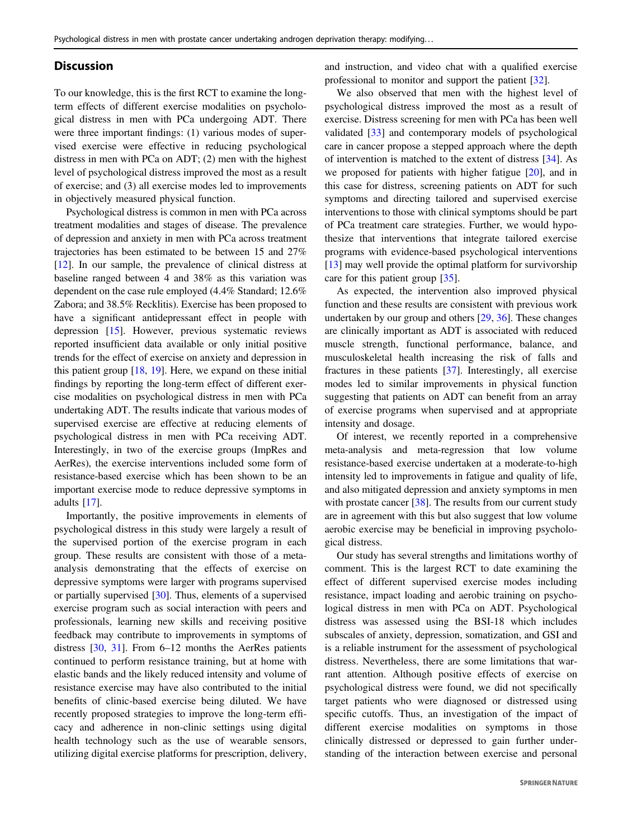# **Discussion**

To our knowledge, this is the first RCT to examine the longterm effects of different exercise modalities on psychological distress in men with PCa undergoing ADT. There were three important findings: (1) various modes of supervised exercise were effective in reducing psychological distress in men with PCa on ADT; (2) men with the highest level of psychological distress improved the most as a result of exercise; and (3) all exercise modes led to improvements in objectively measured physical function.

Psychological distress is common in men with PCa across treatment modalities and stages of disease. The prevalence of depression and anxiety in men with PCa across treatment trajectories has been estimated to be between 15 and 27% [\[12](#page-7-0)]. In our sample, the prevalence of clinical distress at baseline ranged between 4 and 38% as this variation was dependent on the case rule employed (4.4% Standard; 12.6% Zabora; and 38.5% Recklitis). Exercise has been proposed to have a significant antidepressant effect in people with depression [[15\]](#page-7-0). However, previous systematic reviews reported insufficient data available or only initial positive trends for the effect of exercise on anxiety and depression in this patient group [[18,](#page-8-0) [19\]](#page-8-0). Here, we expand on these initial findings by reporting the long-term effect of different exercise modalities on psychological distress in men with PCa undertaking ADT. The results indicate that various modes of supervised exercise are effective at reducing elements of psychological distress in men with PCa receiving ADT. Interestingly, in two of the exercise groups (ImpRes and AerRes), the exercise interventions included some form of resistance-based exercise which has been shown to be an important exercise mode to reduce depressive symptoms in adults [[17\]](#page-8-0).

Importantly, the positive improvements in elements of psychological distress in this study were largely a result of the supervised portion of the exercise program in each group. These results are consistent with those of a metaanalysis demonstrating that the effects of exercise on depressive symptoms were larger with programs supervised or partially supervised [\[30](#page-8-0)]. Thus, elements of a supervised exercise program such as social interaction with peers and professionals, learning new skills and receiving positive feedback may contribute to improvements in symptoms of distress [\[30](#page-8-0), [31\]](#page-8-0). From 6–12 months the AerRes patients continued to perform resistance training, but at home with elastic bands and the likely reduced intensity and volume of resistance exercise may have also contributed to the initial benefits of clinic-based exercise being diluted. We have recently proposed strategies to improve the long-term efficacy and adherence in non-clinic settings using digital health technology such as the use of wearable sensors, utilizing digital exercise platforms for prescription, delivery,

and instruction, and video chat with a qualified exercise professional to monitor and support the patient [[32\]](#page-8-0).

We also observed that men with the highest level of psychological distress improved the most as a result of exercise. Distress screening for men with PCa has been well validated [[33\]](#page-8-0) and contemporary models of psychological care in cancer propose a stepped approach where the depth of intervention is matched to the extent of distress [\[34](#page-8-0)]. As we proposed for patients with higher fatigue [\[20](#page-8-0)], and in this case for distress, screening patients on ADT for such symptoms and directing tailored and supervised exercise interventions to those with clinical symptoms should be part of PCa treatment care strategies. Further, we would hypothesize that interventions that integrate tailored exercise programs with evidence-based psychological interventions [\[13](#page-7-0)] may well provide the optimal platform for survivorship care for this patient group [[35\]](#page-8-0).

As expected, the intervention also improved physical function and these results are consistent with previous work undertaken by our group and others [\[29](#page-8-0), [36](#page-8-0)]. These changes are clinically important as ADT is associated with reduced muscle strength, functional performance, balance, and musculoskeletal health increasing the risk of falls and fractures in these patients [[37\]](#page-8-0). Interestingly, all exercise modes led to similar improvements in physical function suggesting that patients on ADT can benefit from an array of exercise programs when supervised and at appropriate intensity and dosage.

Of interest, we recently reported in a comprehensive meta-analysis and meta-regression that low volume resistance-based exercise undertaken at a moderate-to-high intensity led to improvements in fatigue and quality of life, and also mitigated depression and anxiety symptoms in men with prostate cancer [\[38](#page-8-0)]. The results from our current study are in agreement with this but also suggest that low volume aerobic exercise may be beneficial in improving psychological distress.

Our study has several strengths and limitations worthy of comment. This is the largest RCT to date examining the effect of different supervised exercise modes including resistance, impact loading and aerobic training on psychological distress in men with PCa on ADT. Psychological distress was assessed using the BSI-18 which includes subscales of anxiety, depression, somatization, and GSI and is a reliable instrument for the assessment of psychological distress. Nevertheless, there are some limitations that warrant attention. Although positive effects of exercise on psychological distress were found, we did not specifically target patients who were diagnosed or distressed using specific cutoffs. Thus, an investigation of the impact of different exercise modalities on symptoms in those clinically distressed or depressed to gain further understanding of the interaction between exercise and personal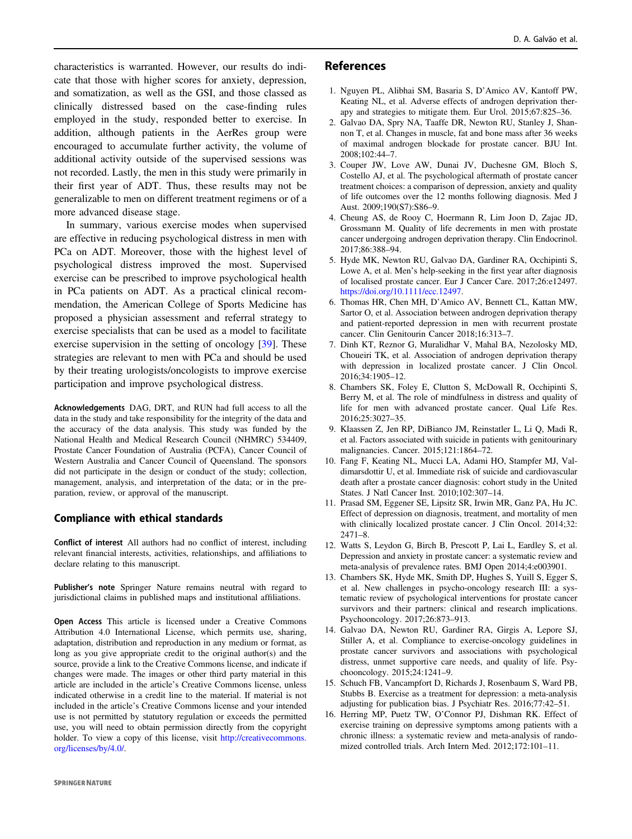<span id="page-7-0"></span>characteristics is warranted. However, our results do indicate that those with higher scores for anxiety, depression, and somatization, as well as the GSI, and those classed as clinically distressed based on the case-finding rules employed in the study, responded better to exercise. In addition, although patients in the AerRes group were encouraged to accumulate further activity, the volume of additional activity outside of the supervised sessions was not recorded. Lastly, the men in this study were primarily in their first year of ADT. Thus, these results may not be generalizable to men on different treatment regimens or of a more advanced disease stage.

In summary, various exercise modes when supervised are effective in reducing psychological distress in men with PCa on ADT. Moreover, those with the highest level of psychological distress improved the most. Supervised exercise can be prescribed to improve psychological health in PCa patients on ADT. As a practical clinical recommendation, the American College of Sports Medicine has proposed a physician assessment and referral strategy to exercise specialists that can be used as a model to facilitate exercise supervision in the setting of oncology [[39\]](#page-8-0). These strategies are relevant to men with PCa and should be used by their treating urologists/oncologists to improve exercise participation and improve psychological distress.

Acknowledgements DAG, DRT, and RUN had full access to all the data in the study and take responsibility for the integrity of the data and the accuracy of the data analysis. This study was funded by the National Health and Medical Research Council (NHMRC) 534409, Prostate Cancer Foundation of Australia (PCFA), Cancer Council of Western Australia and Cancer Council of Queensland. The sponsors did not participate in the design or conduct of the study; collection, management, analysis, and interpretation of the data; or in the preparation, review, or approval of the manuscript.

#### Compliance with ethical standards

Conflict of interest All authors had no conflict of interest, including relevant financial interests, activities, relationships, and affiliations to declare relating to this manuscript.

Publisher's note Springer Nature remains neutral with regard to jurisdictional claims in published maps and institutional affiliations.

Open Access This article is licensed under a Creative Commons Attribution 4.0 International License, which permits use, sharing, adaptation, distribution and reproduction in any medium or format, as long as you give appropriate credit to the original author(s) and the source, provide a link to the Creative Commons license, and indicate if changes were made. The images or other third party material in this article are included in the article's Creative Commons license, unless indicated otherwise in a credit line to the material. If material is not included in the article's Creative Commons license and your intended use is not permitted by statutory regulation or exceeds the permitted use, you will need to obtain permission directly from the copyright holder. To view a copy of this license, visit [http://creativecommons.](http://creativecommons.org/licenses/by/4.0/) [org/licenses/by/4.0/.](http://creativecommons.org/licenses/by/4.0/)

#### References

- 1. Nguyen PL, Alibhai SM, Basaria S, D'Amico AV, Kantoff PW, Keating NL, et al. Adverse effects of androgen deprivation therapy and strategies to mitigate them. Eur Urol. 2015;67:825–36.
- 2. Galvao DA, Spry NA, Taaffe DR, Newton RU, Stanley J, Shannon T, et al. Changes in muscle, fat and bone mass after 36 weeks of maximal androgen blockade for prostate cancer. BJU Int.  $2008:102.44 - 7$
- 3. Couper JW, Love AW, Dunai JV, Duchesne GM, Bloch S, Costello AJ, et al. The psychological aftermath of prostate cancer treatment choices: a comparison of depression, anxiety and quality of life outcomes over the 12 months following diagnosis. Med J Aust. 2009;190(S7):S86–9.
- 4. Cheung AS, de Rooy C, Hoermann R, Lim Joon D, Zajac JD, Grossmann M. Quality of life decrements in men with prostate cancer undergoing androgen deprivation therapy. Clin Endocrinol. 2017;86:388–94.
- 5. Hyde MK, Newton RU, Galvao DA, Gardiner RA, Occhipinti S, Lowe A, et al. Men's help-seeking in the first year after diagnosis of localised prostate cancer. Eur J Cancer Care. 2017;26:e12497. [https://doi.org/10.1111/ecc.12497.](https://doi.org/10.1111/ecc.12497)
- 6. Thomas HR, Chen MH, D'Amico AV, Bennett CL, Kattan MW, Sartor O, et al. Association between androgen deprivation therapy and patient-reported depression in men with recurrent prostate cancer. Clin Genitourin Cancer 2018;16:313–7.
- 7. Dinh KT, Reznor G, Muralidhar V, Mahal BA, Nezolosky MD, Choueiri TK, et al. Association of androgen deprivation therapy with depression in localized prostate cancer. J Clin Oncol. 2016;34:1905–12.
- 8. Chambers SK, Foley E, Clutton S, McDowall R, Occhipinti S, Berry M, et al. The role of mindfulness in distress and quality of life for men with advanced prostate cancer. Qual Life Res. 2016;25:3027–35.
- 9. Klaassen Z, Jen RP, DiBianco JM, Reinstatler L, Li Q, Madi R, et al. Factors associated with suicide in patients with genitourinary malignancies. Cancer. 2015;121:1864–72.
- 10. Fang F, Keating NL, Mucci LA, Adami HO, Stampfer MJ, Valdimarsdottir U, et al. Immediate risk of suicide and cardiovascular death after a prostate cancer diagnosis: cohort study in the United States. J Natl Cancer Inst. 2010;102:307–14.
- 11. Prasad SM, Eggener SE, Lipsitz SR, Irwin MR, Ganz PA, Hu JC. Effect of depression on diagnosis, treatment, and mortality of men with clinically localized prostate cancer. J Clin Oncol. 2014;32: 2471–8.
- 12. Watts S, Leydon G, Birch B, Prescott P, Lai L, Eardley S, et al. Depression and anxiety in prostate cancer: a systematic review and meta-analysis of prevalence rates. BMJ Open 2014;4:e003901.
- 13. Chambers SK, Hyde MK, Smith DP, Hughes S, Yuill S, Egger S, et al. New challenges in psycho-oncology research III: a systematic review of psychological interventions for prostate cancer survivors and their partners: clinical and research implications. Psychooncology. 2017;26:873–913.
- 14. Galvao DA, Newton RU, Gardiner RA, Girgis A, Lepore SJ, Stiller A, et al. Compliance to exercise-oncology guidelines in prostate cancer survivors and associations with psychological distress, unmet supportive care needs, and quality of life. Psychooncology. 2015;24:1241–9.
- 15. Schuch FB, Vancampfort D, Richards J, Rosenbaum S, Ward PB, Stubbs B. Exercise as a treatment for depression: a meta-analysis adjusting for publication bias. J Psychiatr Res. 2016;77:42–51.
- 16. Herring MP, Puetz TW, O'Connor PJ, Dishman RK. Effect of exercise training on depressive symptoms among patients with a chronic illness: a systematic review and meta-analysis of randomized controlled trials. Arch Intern Med. 2012;172:101–11.